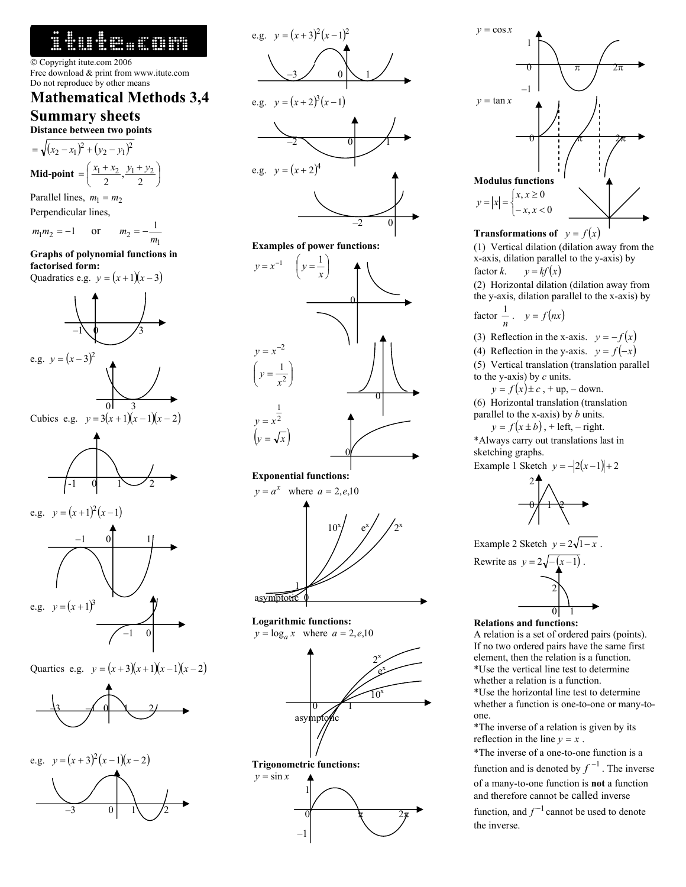# 1tute.com

 Copyright itute.com 2006 Free download & print from www.itute.com Do not reproduce by other means

# **Mathematical Methods 3,4 Summary sheets**

**Distance between two points** 

$$
= \sqrt{(x_2 - x_1)^2 + (y_2 - y_1)^2}
$$
  
**Mid-point** =  $\left(\frac{x_1 + x_2}{2}, \frac{y_1 + y_2}{2}\right)$ 

Parallel lines,  $m_1 = m_2$ 

Perpendicular lines,

$$
m_1 m_2 = -1
$$
 or  $m_2 = -\frac{1}{m_1}$ 

# **Graphs of polynomial functions in factorised form:**

Quadratics e.g.  $y = (x+1)(x-3)$ 









Quartics e.g.  $y = (x+3)(x+1)(x-1)(x-2)$ 







**Logarithmic functions:**   $y = \log_a x$  where  $a = 2, e, 10$ 



 $y = \cos x$  1  $\begin{array}{c|c|c|c|c|c|c|c} \hline \hline 0 & \pi & \pi \end{array}$  2π –1  $y = \tan x$  $-0$   $+$   $\pi$   $+$   $2\pi$ **Modulus functions**  $\begin{cases} \end{cases}$  $= |x| = \begin{cases} x, x \ge 0 \\ -x, x < 0 \end{cases}$  $y = |x| = \begin{cases} x, x \ge 0 \\ -x, x \end{cases}$ 

# **Transformations of**  $y = f(x)$

(1) Vertical dilation (dilation away from the x-axis, dilation parallel to the y-axis) by factor *k*.  $y = kf(x)$ 

(2) Horizontal dilation (dilation away from the y-axis, dilation parallel to the x-axis) by

factor 
$$
\frac{1}{n}
$$
.  $y = f(nx)$ 

(3) Reflection in the x-axis.  $y = -f(x)$ 

(4) Reflection in the y-axis.  $y = f(-x)$ 

(5) Vertical translation (translation parallel to the y-axis) by *c* units.

 $y = f(x) \pm c$ , + up, – down.

(6) Horizontal translation (translation parallel to the x-axis) by *b* units.

 $y = f(x \pm b)$ , + left, – right.

\*Always carry out translations last in sketching graphs.

Example 1 Sketch  $y = -2(x-1) + 2$ 



Example 2 Sketch  $y = 2\sqrt{1-x}$ .

Rewrite as 
$$
y = 2\sqrt{- (x-1)}
$$
.

**Relations and functions:** 

A relation is a set of ordered pairs (points). If no two ordered pairs have the same first element, then the relation is a function. \*Use the vertical line test to determine whether a relation is a function. \*Use the horizontal line test to determine

whether a function is one-to-one or many-toone.

\*The inverse of a relation is given by its reflection in the line  $y = x$ .

\*The inverse of a one-to-one function is a function and is denoted by  $f^{-1}$ . The inverse of a many-to-one function is **not** a function and therefore cannot be called inverse function, and  $f^{-1}$  cannot be used to denote the inverse.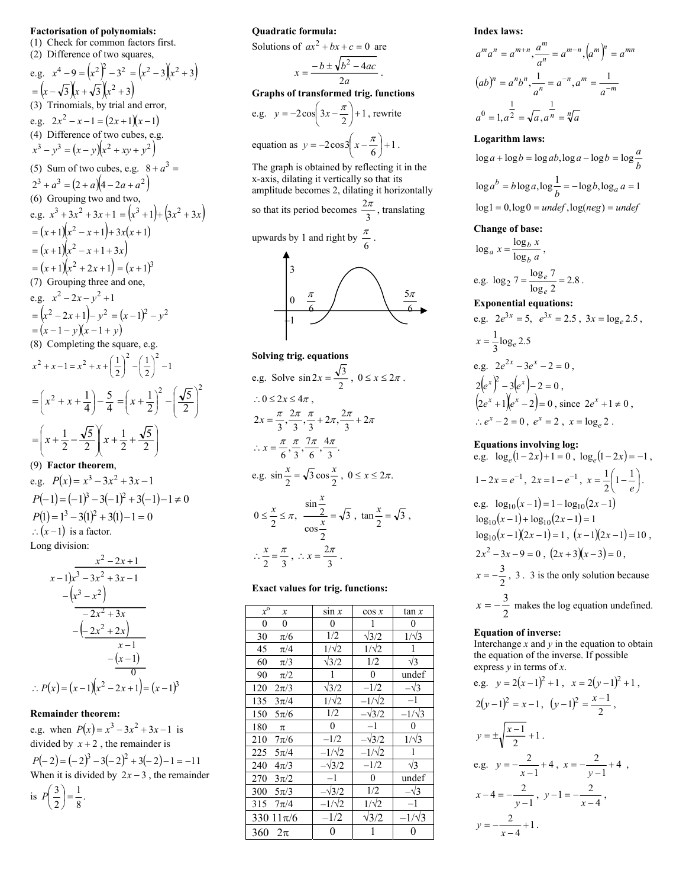#### **Factorisation of polynomials:**

(1) Check for common factors first. (2) Difference of two squares,

e.g.  $x^4 - 9 = (x^2)^2 - 3^2 = (x^2 - 3)(x^2 + 3)$  $=(x-\sqrt{3})(x+\sqrt{3})(x^2+3)$ (3) Trinomials, by trial and error, e.g.  $2x^2 - x - 1 = (2x + 1)(x - 1)$ (4) Difference of two cubes, e.g.  $(x^3 - y^3) = (x - y)(x^2 + xy + y^2)$ (5) Sum of two cubes, e.g.  $8 + a^3 =$  $(2^3 + a^3) = (2 + a)(4 - 2a + a^2)$ (6) Grouping two and two, e.g.  $x^3 + 3x^2 + 3x + 1 = (x^3 + 1) + (3x^2 + 3x)$  $=(x+1)(x^2-x+1)+3x(x+1)$  $=(x+1)(x^2-x+1+3x)$  $(x+1)(x^2+2x+1) = (x+1)^3$ (7) Grouping three and one, e.g.  $x^2 - 2x - y^2 + 1$  $(x^2 - 2x + 1) - y^2 = (x - 1)^2 - y^2$  $=(x-1-y)(x-1+y)$ (8) Completing the square, e.g.  $\frac{1}{2}$  -1 1  $x^2 + x - 1 = x^2 + x + \left(\frac{1}{2}\right)^2 - \left(\frac{1}{2}\right)^2$ 4 5  $=\left(x^2 + x + \frac{1}{4}\right) -$ J Ι  $\overline{\phantom{a}}$ J  $\int x^2 + x$ 2  $(\sqrt{\epsilon})^2$ 2 5 2 1  $\overline{\phantom{a}}$ J Ι  $\overline{\phantom{a}}$ l ſ  $\vert$ J Ι I ∖  $=\left(x+\frac{1}{2}\right)^{2}$  –  $\overline{\phantom{a}}$ J Ι  $\overline{\phantom{a}}$ l ſ  $\overline{\phantom{a}}$ J Ι  $\overline{\phantom{a}}$ l  $=\left(x+\frac{1}{2}-\frac{\sqrt{5}}{2}\right)x+\frac{1}{2}+\frac{\sqrt{5}}{2}$ 2 1 2 5 2  $x + \frac{1}{2} - \frac{\sqrt{5}}{2}$   $x$ 

# (9) **Factor theorem**,

e.g.  $P(x) = x^3 - 3x^2 + 3x - 1$  $P(-1) = (-1)^3 - 3(-1)^2 + 3(-1) - 1 \neq 0$  $P(1) = 1^3 - 3(1)^2 + 3(1) - 1 = 0$  $\therefore$   $(x-1)$  is a factor. Long division:

$$
x^{2}-2x+1
$$
\n
$$
x-1)x^{3}-3x^{2}+3x-1
$$
\n
$$
-(x^{3}-x^{2})
$$
\n
$$
-2x^{2}+3x
$$
\n
$$
-(2x^{2}+2x)
$$
\n
$$
x-1
$$
\n
$$
-(x-1)
$$
\n∴ P(x) = (x-1)(x<sup>2</sup> - 2x + 1) = (x-1)<sup>3</sup>

#### **Remainder theorem:**

e.g. when  $P(x) = x^3 - 3x^2 + 3x - 1$  is divided by  $x + 2$ , the remainder is  $P(-2) = (-2)^3 - 3(-2)^2 + 3(-2) - 1 = -11$ When it is divided by  $2x - 3$ , the remainder is  $P\left(\frac{3}{2}\right) = \frac{1}{8}$ . 1 2  $\left(\frac{3}{2}\right)$  = *P*

#### **Quadratic formula:**

Solutions of  $ax^2 + bx + c = 0$  are

$$
x = \frac{-b \pm \sqrt{b^2 - 4ac}}{2a}.
$$
  
Graphs of transformed trig. functions  
e.g.  $y = -2\cos\left(3x - \frac{\pi}{2}\right) + 1$ , rewrite

equation as 
$$
y = -2\cos\left(x - \frac{\pi}{6}\right) + 1
$$
.

The graph is obtained by reflecting it in the x-axis, dilating it vertically so that its amplitude becomes 2, dilating it horizontally so that its period becomes  $\frac{2\pi}{3}$ , translating upwards by 1 and right by  $\frac{\pi}{6}$ .



Solving trig. equations  
\ne.g. Solve 
$$
\sin 2x = \frac{\sqrt{3}}{2}
$$
,  $0 \le x \le 2\pi$ .  
\n
$$
\therefore 0 \le 2x \le 4\pi
$$
\n
$$
2x = \frac{\pi}{3}, \frac{2\pi}{3}, \frac{\pi}{3} + 2\pi, \frac{2\pi}{3} + 2\pi
$$
\n
$$
\therefore x = \frac{\pi}{6}, \frac{\pi}{3}, \frac{7\pi}{6}, \frac{4\pi}{3}.
$$
\ne.g.  $\sin \frac{x}{2} = \sqrt{3} \cos \frac{x}{2}$ ,  $0 \le x \le 2\pi$ .  
\n
$$
0 \le \frac{x}{2} \le \pi, \frac{\sin \frac{x}{2}}{\cos \frac{x}{2}} = \sqrt{3}
$$
,  $\tan \frac{x}{2} = \sqrt{3}$ ,  
\n
$$
\therefore \frac{x}{2} = \frac{\pi}{3}, \therefore x = \frac{2\pi}{3}.
$$

#### **Exact values for trig. functions:**

| $x^{\mathrm{o}}$<br>$\boldsymbol{x}$ | $\sin x$       | $\cos x$       | tan x          |
|--------------------------------------|----------------|----------------|----------------|
| $\boldsymbol{0}$<br>$\mathbf{0}$     | $\overline{0}$ | 1              | 0              |
| 30<br>$\pi/6$                        | 1/2            | $\sqrt{3}/2$   | $1/\sqrt{3}$   |
| 45<br>$\pi/4$                        | $1/\sqrt{2}$   | $1/\sqrt{2}$   | 1              |
| 60<br>$\pi/3$                        | $\sqrt{3}/2$   | 1/2            | $\sqrt{3}$     |
| 90<br>$\pi/2$                        | 1              | $\theta$       | undef          |
| 120<br>$2\pi/3$                      | $\sqrt{3}/2$   | $-1/2$         | $-\sqrt{3}$    |
| 135<br>$3\pi/4$                      | $1/\sqrt{2}$   | $-1/\sqrt{2}$  | $-1$           |
| 150<br>$5\pi/6$                      | 1/2            | $-\sqrt{3}/2$  | $-1/\sqrt{3}$  |
| 180<br>π                             | $\theta$       | $-1$           | $\overline{0}$ |
| 210<br>$7\pi/6$                      | $-1/2$         | $-\sqrt{3}/2$  | $1/\sqrt{3}$   |
| $225 \quad 5\pi/4$                   | $-1/\sqrt{2}$  | $-1/\sqrt{2}$  | 1              |
| 240<br>$4\pi/3$                      | $-\sqrt{3}/2$  | $-1/2$         | $\sqrt{3}$     |
| 270<br>$3\pi/2$                      | $-1$           | $\overline{0}$ | undef          |
| 300<br>$5\pi/3$                      | $-\sqrt{3}/2$  | 1/2            | $-\sqrt{3}$    |
| 315<br>$7\pi/4$                      | $-1/\sqrt{2}$  | $1/\sqrt{2}$   | $-1$           |
| 330 $11\pi/6$                        | $-1/2$         | $\sqrt{3}/2$   | $-1/\sqrt{3}$  |
| 360<br>$2\pi$                        | 0              | 1              | 0              |

**Index laws:**

$$
a^{m}a^{n} = a^{m+n}, \frac{a^{m}}{a^{n}} = a^{m-n}, (a^{m})^{n} = a^{mn}
$$

$$
(ab)^{n} = a^{n}b^{n}, \frac{1}{a^{n}} = a^{-n}, a^{m} = \frac{1}{a^{-m}}
$$

$$
a^{0} = 1, a^{\frac{1}{2}} = \sqrt{a}, a^{\frac{1}{n}} = \sqrt[n]{a}
$$

#### **Logarithm laws:**

 $\log a + \log b = \log ab, \log a - \log b = \log \frac{a}{b}$  $\log a^b = b \log a, \log \frac{1}{b} = -\log b, \log_a a = 1$  $log 1 = 0, log 0 = under, log(neg) = under$ 

#### **Change of base:**

$$
\log_a x = \frac{\log_b x}{\log_b a},
$$
  
e.g. 
$$
\log_2 7 = \frac{\log_e 7}{\log_e 2} = 2.8.
$$
  
Exponential equations:

e.g. 
$$
2e^{3x} = 5
$$
,  $e^{3x} = 2.5$ ,  $3x = \log_e 2.5$ ,  
\n $x = \frac{1}{3} \log_e 2.5$   
\ne.g.  $2e^{2x} - 3e^x - 2 = 0$ ,  
\n $2(e^x)^2 - 3(e^x) - 2 = 0$ ,  
\n $(2e^x + 1)(e^x - 2) = 0$ , since  $2e^x + 1 \ne 0$ ,  
\n $\therefore e^x - 2 = 0$ ,  $e^x = 2$ ,  $x = \log_e 2$ .

**Equations involving log:**

e.g. 
$$
\log_e(1-2x)+1=0
$$
,  $\log_e(1-2x)=-1$ ,  
\n $1-2x = e^{-1}$ ,  $2x = 1 - e^{-1}$ ,  $x = \frac{1}{2}\left(1-\frac{1}{e}\right)$ .  
\ne.g.  $\log_{10}(x-1) = 1 - \log_{10}(2x-1)$   
\n $\log_{10}(x-1) + \log_{10}(2x-1) = 1$   
\n $\log_{10}(x-1)(2x-1) = 1$ ,  $(x-1)(2x-1) = 10$ ,  
\n $2x^2-3x-9=0$ ,  $(2x+3)(x-3)=0$ ,  
\n $x = -\frac{3}{2}$ , 3. 3 is the only solution because  
\n $x = -\frac{3}{2}$  makes the log equation undefined.

#### **Equation of inverse:**

Interchange  $x$  and  $y$  in the equation to obtain the equation of the inverse. If possible express *y* in terms of *x*.

e.g. 
$$
y = 2(x-1)^2 + 1
$$
,  $x = 2(y-1)^2 + 1$ ,  
\n $2(y-1)^2 = x-1$ ,  $(y-1)^2 = \frac{x-1}{2}$ ,  
\n $y = \pm \sqrt{\frac{x-1}{2}} + 1$ .  
\ne.g.  $y = -\frac{2}{x-1} + 4$ ,  $x = -\frac{2}{y-1} + 4$ ,  
\n $x - 4 = -\frac{2}{y-1}$ ,  $y - 1 = -\frac{2}{x-4}$ ,  
\n $y = -\frac{2}{x-4} + 1$ .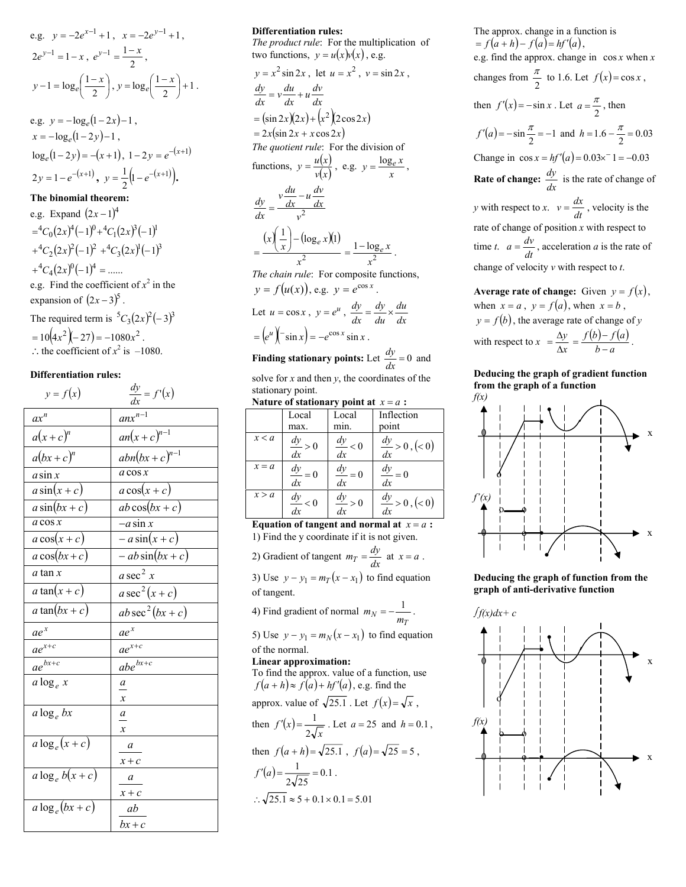e.g. 
$$
y = -2e^{x-1} + 1
$$
,  $x = -2e^{y-1} + 1$ ,  
\n $2e^{y-1} = 1 - x$ ,  $e^{y-1} = \frac{1-x}{2}$ ,  
\n $y - 1 = \log_e\left(\frac{1-x}{2}\right)$ ,  $y = \log_e\left(\frac{1-x}{2}\right) + 1$ .

e.g.  $y = -\log_e(1-2x) - 1$ ,  $x = -\log_e(1-2y) - 1$ ,  $\log_e(1 - 2y) = -(x + 1), 1 - 2y = e^{-(x + 1)}$  $2y = 1 - e^{-(x+1)}, \quad y = \frac{1}{2} (1 - e^{-(x+1)}).$ 

## **The binomial theorem:**

e.g. Expand  $(2x-1)^4$  $= {}^4C_0(2x)^4(-1)^0+{}^4C_1(2x)^3(-1)^1$  $C_1^4C_2(2x)^2(-1)^2 + C_3(2x)^1(-1)^3$  $A^4C_4(2x)^0(-1)^4 = ......$ e.g. Find the coefficient of  $x^2$  in the expansion of  $(2x-3)^5$ The required term is  ${}^5C_3(2x)^2(-3)^3$  $=10(4x^2 \left(-27\right) = -1080x^2$ . ∴ the coefficient of  $x^2$  is  $-1080$ .

#### **Differentiation rules:**

| $y = f(x)$        | $\frac{dy}{dx} = f'(x)$ |
|-------------------|-------------------------|
| $ax^n$            | $anx^{n-1}$             |
| $a(x+c)^n$        | $an(x+c)^{n-1}$         |
| $a(bx+c)^n$       | $abn(bx+c)^{n-1}$       |
| $a \sin x$        | $a \cos x$              |
| $a\sin(x+c)$      | $a\cos(x+c)$            |
| $a\sin(bx+c)$     | $ab\cos(bx+c)$          |
| $a \cos x$        | $-a$ sin x              |
| $a\cos(x+c)$      | $-a\sin(x+c)$           |
| $a\cos(bx+c)$     | $-\,ab\sin(bx+c)$       |
| a tan x           | a sec <sup>2</sup> $x$  |
| a tan $(x+c)$     | $a\sec^2(x+c)$          |
| a tan $(bx+c)$    | $ab\sec^2(bx+c)$        |
| $ae^x$            | $ae^x$                  |
| $ae^{x+c}$        | $ae^{x+c}$              |
| $ae^{bx+c}$       | $abe^{bx+c}$            |
| a $\log_e x$      | a                       |
|                   | $\boldsymbol{x}$        |
| $a \log_e bx$     | a                       |
|                   | $\mathcal{X}$           |
| $a \log_e(x+c)$   | a                       |
|                   | $x + c$                 |
| $a \log_e b(x+c)$ | $\boldsymbol{a}$        |
|                   | $x + c$                 |
| $a \log_e(bx+c)$  | ab                      |
|                   | $bx+c$                  |

# **Differentiation rules:**

*The product rule*: For the multiplication of two functions,  $y = u(x)v(x)$ , e.g.  $y = x^2 \sin 2x$ , let  $u = x^2$ ,  $v = \sin 2x$ ,  $\frac{dy}{dx} = v \frac{du}{dx} + u \frac{dv}{dx}$  $=(\sin 2x)(2x) + (x^2)(2\cos 2x)$  $= 2x(\sin 2x + x\cos 2x)$ *The quotient rule*: For the division of functions,  $y = \frac{u(x)}{v(x)}$ , e.g.  $y = \frac{\log_e x}{x}$ ,  $v^2$  $v \frac{du}{dx} - u \frac{dv}{dx}$ *dx*  $\frac{dy}{dx} = \frac{v \frac{du}{dx}}{dx}$  $(x) - (-(\log_e x)(1)$ 2  $\binom{1}{x} - (\log_e x)(1)$ *x*  $\left(\frac{1}{x}\right) - (\log_e x)$  $\left(\frac{1}{n}\right)$ l ſ  $=\frac{1-\log x}{x^2}$  =  $\frac{1-\log x}{x^2}$ *x*  $=\frac{1-\log_e x}{2}$ . *The chain rule*: For composite functions,  $y = f(u(x))$ , e.g.  $y = e^{\cos x}$ Let  $u = \cos x$ ,  $y = e^u$ ,  $\frac{dy}{dx} = \frac{dy}{du} \times \frac{du}{dx}$ *du dy*  $\frac{dy}{dx} = \frac{dy}{du} \times$  $(e^u)' - \sin x = -e^{\cos x} \sin x$ . **Finding stationary points:** Let  $\frac{dy}{dx} = 0$  and

solve for *x* and then *y*, the coordinates of the stationary point.

Nature of stationary point at  $x = a$ :

|         | Local               | Local               | Inflection                    |
|---------|---------------------|---------------------|-------------------------------|
|         | max.                | min.                | point                         |
| x < a   | $\frac{dy}{dx} > 0$ | $\frac{dy}{dx} < 0$ | $\frac{dy}{dx} > 0$ , $(< 0)$ |
| $x = a$ | $\frac{dy}{dx} = 0$ | $\frac{dy}{dx} = 0$ | $\frac{dy}{dx} = 0$           |
| x > a   | $\frac{dy}{dx} < 0$ | $\frac{dy}{dx} > 0$ | $\frac{dy}{dx} > 0$ , (< 0)   |

**Equation of tangent and normal at**  $x = a$ : 1) Find the y coordinate if it is not given.

2) Gradient of tangent  $m_T = \frac{dy}{dx}$  at  $x = a$ .

3) Use  $y - y_1 = m_T(x - x_1)$  to find equation of tangent.

4) Find gradient of normal  $m_N = -\frac{1}{m_T}$ .

5) Use  $y - y_1 = m_N(x - x_1)$  to find equation of the normal.

**Linear approximation:**

To find the approx. value of a function, use  $f(a+h) \approx f(a) + hf'(a)$ , e.g. find the approx. value of  $\sqrt{25.1}$ . Let  $f(x) = \sqrt{x}$ , then  $f'(x) = \frac{1}{2\sqrt{x}}$ . Let  $a = 25$  and  $h = 0.1$ , then  $f(a+h) = \sqrt{25.1}$ ,  $f(a) = \sqrt{25} = 5$ ,  $(a) = \frac{1}{\sqrt{a}} = 0.1$  $2\sqrt{25}$  $f'(a) = \frac{1}{\sqrt{a}} = 0.1$ .

 $\therefore \sqrt{25.1} \approx 5 + 0.1 \times 0.1 = 5.01$ 

The approx. change in a function is  $= f(a+h) - f(a) = hf'(a),$ e.g. find the approx. change in cos *x* when *x* changes from  $\frac{\pi}{2}$  to 1.6. Let  $f(x) = \cos x$ , then  $f'(x) = -\sin x$ . Let  $a = \frac{\pi}{2}$ , then  $f'(a) = -\sin \frac{\pi}{2} = -1$  and  $h = 1.6 - \frac{\pi}{2} = 0.03$ Change in  $\cos x = hf'(a) = 0.03 \times 1 = -0.03$ **Rate of change:**  $\frac{dy}{dx}$  is the rate of change of *y* with respect to *x*.  $v = \frac{dx}{dt}$ , velocity is the rate of change of position *x* with respect to time *t*.  $a = \frac{dv}{dt}$ , acceleration *a* is the rate of change of velocity *v* with respect to *t*.

**Average rate of change:** Given  $y = f(x)$ , when  $x = a$ ,  $y = f(a)$ , when  $x = b$ ,  $y = f(b)$ , the average rate of change of *y* with respect to  $x = \frac{\Delta y}{\Delta x}$  $= \frac{\Delta y}{\Delta x} = \frac{f(b)-f(a)}{b-a}$  $f(b) - f(a)$  $=\frac{f(b)-f(a)}{b-a}.$ 

# **Deducing the graph of gradient function from the graph of a function**



**Deducing the graph of function from the graph of anti-derivative function**